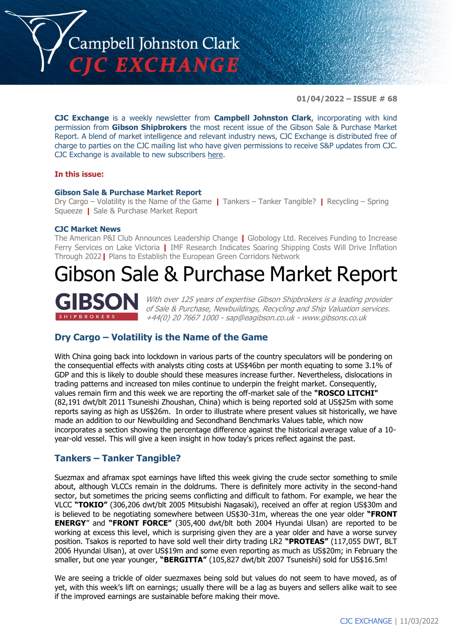

**01/04/2022 – ISSUE # 68**

**CJC Exchange** is a weekly newsletter from **Campbell Johnston Clark**, incorporating with kind permission from **Gibson Shipbrokers** the most recent issue of the Gibson Sale & Purchase Market Report. A blend of market intelligence and relevant industry news, CJC Exchange is distributed free of charge to parties on the CJC mailing list who have given permissions to receive S&P updates from CJC. CJC Exchange is available to new subscribers [here.](mailto:jamesc@cjclaw.com?subject=CJC%20Exchange%20sign-up)

#### **In this issue:**

#### **Gibson Sale & Purchase Market Report**

Dry Cargo – Volatility is the Name of the Game **|** Tankers – Tanker Tangible? **|** Recycling – Spring Squeeze **|** Sale & Purchase Market Report

#### **CJC Market News**

The American P&I Club Announces Leadership Change **|** Globology Ltd. Receives Funding to Increase Ferry Services on Lake Victoria **|** IMF Research Indicates Soaring Shipping Costs Will Drive Inflation Through 2022**|** Plans to Establish the European Green Corridors Network

# Gibson Sale & Purchase Market Report



With over 125 years of expertise Gibson Shipbrokers is a leading provider of Sale & Purchase, Newbuildings, Recycling and Ship Valuation services. +44(0) 20 7667 1000 - [sap@eagibson.co.uk](mailto:sap@eagibson.co.uk) - [www.gibsons.co.uk](https://protect-eu.mimecast.com/s/VO6nCGZzRS60KqcK1jQh/)

# **Dry Cargo – Volatility is the Name of the Game**

With China going back into lockdown in various parts of the country speculators will be pondering on the consequential effects with analysts citing costs at US\$46bn per month equating to some 3.1% of GDP and this is likely to double should these measures increase further. Nevertheless, dislocations in trading patterns and increased ton miles continue to underpin the freight market. Consequently, values remain firm and this week we are reporting the off-market sale of the **"ROSCO LITCHI"** (82,191 dwt/blt 2011 Tsuneishi Zhoushan, China) which is being reported sold at US\$25m with some reports saying as high as US\$26m. In order to illustrate where present values sit historically, we have made an addition to our Newbuilding and Secondhand Benchmarks Values table, which now incorporates a section showing the percentage difference against the historical average value of a 10 year-old vessel. This will give a keen insight in how today's prices reflect against the past.

# **Tankers – Tanker Tangible?**

Suezmax and aframax spot earnings have lifted this week giving the crude sector something to smile about, although VLCCs remain in the doldrums. There is definitely more activity in the second-hand sector, but sometimes the pricing seems conflicting and difficult to fathom. For example, we hear the VLCC **"TOKIO"** (306,206 dwt/blt 2005 Mitsubishi Nagasaki), received an offer at region US\$30m and is believed to be negotiating somewhere between US\$30-31m, whereas the one year older **"FRONT ENERGY**" and **"FRONT FORCE"** (305,400 dwt/blt both 2004 Hyundai Ulsan) are reported to be working at excess this level, which is surprising given they are a year older and have a worse survey position. Tsakos is reported to have sold well their dirty trading LR2 **"PROTEAS"** (117,055 DWT, BLT 2006 Hyundai Ulsan), at over US\$19m and some even reporting as much as US\$20m; in February the smaller, but one year younger, **"BERGITTA"** (105,827 dwt/blt 2007 Tsuneishi) sold for US\$16.5m!

We are seeing a trickle of older suezmaxes being sold but values do not seem to have moved, as of yet, with this week's lift on earnings; usually there will be a lag as buyers and sellers alike wait to see if the improved earnings are sustainable before making their move.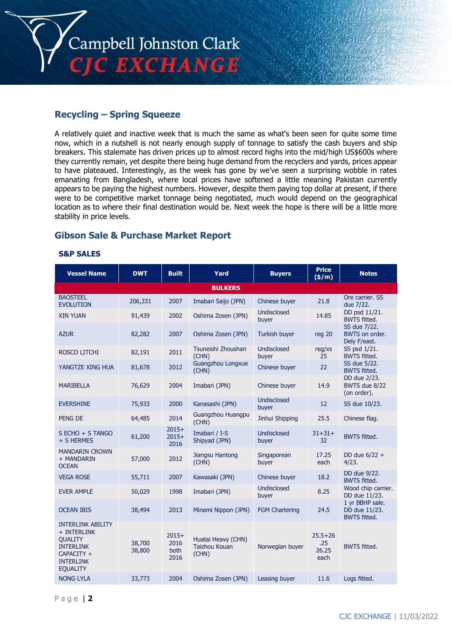

# **Recycling – Spring Squeeze**

A relatively quiet and inactive week that is much the same as what's been seen for quite some time now, which in a nutshell is not nearly enough supply of tonnage to satisfy the cash buyers and ship breakers. This stalemate has driven prices up to almost record highs into the mid/high US\$600s where they currently remain, yet despite there being huge demand from the recyclers and yards, prices appear to have plateaued. Interestingly, as the week has gone by we've seen a surprising wobble in rates emanating from Bangladesh, where local prices have softened a little meaning Pakistan currently appears to be paying the highest numbers. However, despite them paying top dollar at present, if there were to be competitive market tonnage being negotiated, much would depend on the geographical location as to where their final destination would be. Next week the hope is there will be a little more stability in price levels.

# **Gibson Sale & Purchase Market Report**

#### **S&P SALES**

| <b>Vessel Name</b>                                                                                                                 | <b>DWT</b>       | <b>Built</b>                    | Yard                                         | <b>Buyers</b>               | <b>Price</b><br>$($ \$/m $)$        | <b>Notes</b>                                            |
|------------------------------------------------------------------------------------------------------------------------------------|------------------|---------------------------------|----------------------------------------------|-----------------------------|-------------------------------------|---------------------------------------------------------|
|                                                                                                                                    |                  |                                 | <b>BULKERS</b>                               |                             |                                     |                                                         |
| <b>BAOSTEEL</b><br><b>EVOLUTION</b>                                                                                                | 206,331          | 2007                            | Imabari Saijo (JPN)                          | Chinese buyer               | 21.8                                | Ore carrier, SS<br>due 7/22.                            |
| <b>XIN YUAN</b>                                                                                                                    | 91,439           | 2002                            | Oshima Zosen (JPN)                           | <b>Undisclosed</b><br>buyer | 14.85                               | DD psd 11/21.<br><b>BWTS fitted.</b>                    |
| <b>AZUR</b>                                                                                                                        | 82,282           | 2007                            | Oshima Zosen (JPN)                           | <b>Turkish buyer</b>        | reg 20                              | SS due 7/22.<br>BWTS on order.<br>Dely F/east.          |
| ROSCO LITCHI                                                                                                                       | 82,191           | 2011                            | Tsuneishi Zhoushan<br>(CHN)                  | Undisclosed<br>buyer        | req/xs<br>25                        | SS psd 1/21.<br><b>BWTS fitted.</b>                     |
| YANGTZE XING HUA                                                                                                                   | 81,678           | 2012                            | Guangzhou Longxue<br>(CHN)                   | Chinese buyer               | 22                                  | SS due 5/22.<br><b>BWTS fitted.</b>                     |
| <b>MARIBELLA</b>                                                                                                                   | 76,629           | 2004                            | Imabari (JPN)                                | Chinese buyer               | 14.9                                | DD due 2/23.<br>BWTS due 8/22<br>(on order).            |
| <b>EVERSHINE</b>                                                                                                                   | 75,933           | 2000                            | Kanasashi (JPN)                              | Undisclosed<br>buyer        | 12                                  | SS due 10/23.                                           |
| <b>PENG DE</b>                                                                                                                     | 64,485           | 2014                            | Guangzhou Huangpu<br>(CHN)                   | Jinhui Shipping             | 25.5                                | Chinese flag.                                           |
| S ECHO + S TANGO<br>+ S HERMES                                                                                                     | 61,200           | $2015+$<br>$2015+$<br>2016      | Imabari / I-S<br>Shipyad (JPN)               | <b>Undisclosed</b><br>buyer | $31 + 31 +$<br>32                   | <b>BWTS fitted.</b>                                     |
| <b>MANDARIN CROWN</b><br>+ MANDARIN<br><b>OCEAN</b>                                                                                | 57,000           | 2012                            | Jiangsu Hantong<br>(CHN)                     | Singaporean<br>buyer        | 17.25<br>each                       | DD due $6/22 +$<br>4/23.                                |
| <b>VEGA ROSE</b>                                                                                                                   | 55,711           | 2007                            | Kawasaki (JPN)                               | Chinese buyer               | 18.2                                | DD due 9/22.<br><b>BWTS fitted.</b>                     |
| <b>EVER AMPLE</b>                                                                                                                  | 50,029           | 1998                            | Imabari (JPN)                                | Undisclosed<br>buyer        | 8.25                                | Wood chip carrier.<br>DD due 11/23.                     |
| <b>OCEAN IBIS</b>                                                                                                                  | 38,494           | 2013                            | Minami Nippon (JPN)                          | <b>FGM Chartering</b>       | 24.5                                | 1 yr BBHP sale.<br>DD due 11/23.<br><b>BWTS fitted.</b> |
| <b>INTERLINK ABILITY</b><br>+ INTERLINK<br><b>QUALITY</b><br><b>INTERLINK</b><br>CAPACITY +<br><b>INTERLINK</b><br><b>EQUALITY</b> | 38,700<br>38,800 | $2015+$<br>2016<br>both<br>2016 | Huatai Heavy (CHN)<br>Taizhou Kouan<br>(CHN) | Norwegian buyer             | $25.5 + 26$<br>.25<br>26.25<br>each | <b>BWTS fitted.</b>                                     |
| <b>NONG LYLA</b>                                                                                                                   | 33,773           | 2004                            | Oshima Zosen (JPN)                           | Leasing buyer               | 11.6                                | Logs fitted.                                            |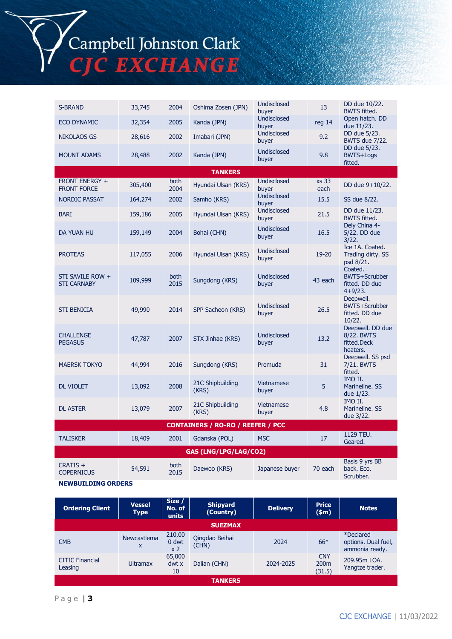# Campbell Johnston Clark<br>CJC EXCHANGE

| <b>S-BRAND</b>                         | 33,745  | 2004         | Oshima Zosen (JPN)                       | Undisclosed<br>buyer        | 13            | DD due 10/22.<br><b>BWTS fitted.</b>                           |
|----------------------------------------|---------|--------------|------------------------------------------|-----------------------------|---------------|----------------------------------------------------------------|
| <b>ECO DYNAMIC</b>                     | 32,354  | 2005         | Kanda (JPN)                              | Undisclosed<br>buyer        | reg 14        | Open hatch. DD<br>due 11/23.                                   |
| <b>NIKOLAOS GS</b>                     | 28,616  | 2002         | Imabari (JPN)                            | <b>Undisclosed</b><br>buyer | 9.2           | DD due 5/23.<br><b>BWTS due 7/22.</b>                          |
| <b>MOUNT ADAMS</b>                     | 28,488  | 2002         | Kanda (JPN)                              | Undisclosed<br>buyer        | 9.8           | DD due 5/23.<br><b>BWTS+Logs</b><br>fitted.                    |
|                                        |         |              | <b>TANKERS</b>                           |                             |               |                                                                |
| FRONT ENERGY +<br><b>FRONT FORCE</b>   | 305,400 | both<br>2004 | Hyundai Ulsan (KRS)                      | Undisclosed<br>buver        | xs 33<br>each | DD due 9+10/22.                                                |
| <b>NORDIC PASSAT</b>                   | 164,274 | 2002         | Samho (KRS)                              | Undisclosed<br>buyer        | 15.5          | SS due 8/22.                                                   |
| <b>BARI</b>                            | 159,186 | 2005         | Hyundai Ulsan (KRS)                      | <b>Undisclosed</b><br>buyer | 21.5          | DD due 11/23.<br><b>BWTS fitted.</b>                           |
| DA YUAN HU                             | 159,149 | 2004         | Bohai (CHN)                              | <b>Undisclosed</b><br>buyer | 16.5          | Dely China 4-<br>5/22. DD due<br>3/22.                         |
| <b>PROTEAS</b>                         | 117,055 | 2006         | Hyundai Ulsan (KRS)                      | <b>Undisclosed</b><br>buyer | 19-20         | Ice 1A. Coated.<br>Trading dirty. SS<br>psd 8/21.              |
| STI SAVILE ROW +<br><b>STI CARNABY</b> | 109,999 | both<br>2015 | Sungdong (KRS)                           | <b>Undisclosed</b><br>buyer | 43 each       | Coated.<br><b>BWTS+Scrubber</b><br>fitted. DD due<br>$4+9/23.$ |
| <b>STI BENICIA</b>                     | 49,990  | 2014         | SPP Sacheon (KRS)                        | <b>Undisclosed</b><br>buyer | 26.5          | Deepwell.<br><b>BWTS+Scrubber</b><br>fitted. DD due<br>10/22.  |
| <b>CHALLENGE</b><br><b>PEGASUS</b>     | 47,787  | 2007         | STX Jinhae (KRS)                         | <b>Undisclosed</b><br>buyer | 13.2          | Deepwell. DD due<br>8/22. BWTS<br>fitted.Deck<br>heaters.      |
| <b>MAERSK TOKYO</b>                    | 44,994  | 2016         | Sungdong (KRS)                           | Premuda                     | 31            | Deepwell. SS psd<br>7/21. BWTS<br>fitted.                      |
| <b>DL VIOLET</b>                       | 13,092  | 2008         | 21C Shipbuilding<br>(KRS)                | Vietnamese<br>buyer         | 5             | IMO II.<br>Marineline. SS<br>due 1/23.                         |
| <b>DL ASTER</b>                        | 13,079  | 2007         | 21C Shipbuilding<br>(KRS)                | <b>Vietnamese</b><br>buyer  | 4.8           | IMO II.<br>Marineline. SS<br>due 3/22.                         |
|                                        |         |              | <b>CONTAINERS / RO-RO / REEFER / PCC</b> |                             |               |                                                                |
| <b>TALISKER</b>                        | 18,409  | 2001         | Gdanska (POL)                            | <b>MSC</b>                  | 17            | 1129 TEU.<br>Geared.                                           |
|                                        |         |              | GAS (LNG/LPG/LAG/CO2)                    |                             |               |                                                                |
| CRATIS +<br><b>COPERNICUS</b>          | 54,591  | both<br>2015 | Daewoo (KRS)                             | Japanese buyer              | 70 each       | Basis 9 yrs BB<br>back. Eco.<br>Scrubber.                      |

#### **NEWBUILDING ORDERS**

| <b>Ordering Client</b>            | <b>Vessel</b><br><b>Type</b> | Size /<br>No. of<br>units         | <b>Shipyard</b><br>(Country) | <b>Delivery</b> | <b>Price</b><br>\$m\$                    | <b>Notes</b>                                       |
|-----------------------------------|------------------------------|-----------------------------------|------------------------------|-----------------|------------------------------------------|----------------------------------------------------|
|                                   |                              |                                   | <b>SUEZMAX</b>               |                 |                                          |                                                    |
| <b>CMB</b>                        | Newcastlema<br>X             | 210,00<br>0 dwt<br>x <sub>2</sub> | Qingdao Beihai<br>(CHN)      | 2024            | $66*$                                    | *Declared<br>options. Dual fuel,<br>ammonia ready. |
| <b>CITIC Financial</b><br>Leasing | <b>Ultramax</b>              | 65,000<br>dwt x<br>10             | Dalian (CHN)                 | 2024-2025       | <b>CNY</b><br>200 <sub>m</sub><br>(31.5) | 209.95m LOA.<br>Yangtze trader.                    |
|                                   |                              |                                   | <b>TANKERS</b>               |                 |                                          |                                                    |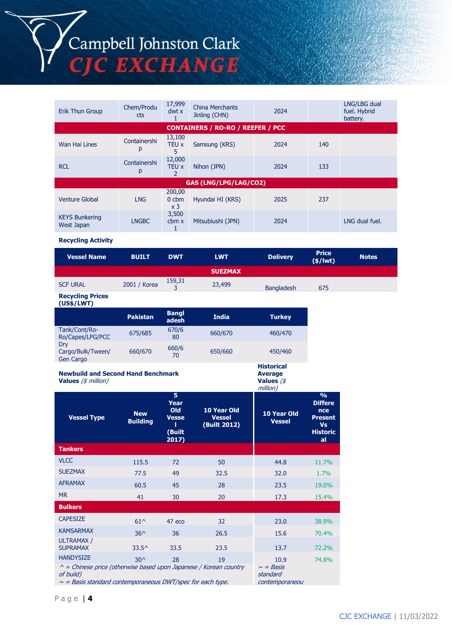Campbell Johnston Clark **C EXCHANGE** 

Erik Thun Group Chem/Produ cts 17,999 dwt x 1 China Merchants Lining Merchants<br>Jinling (CHN) 2024 LNG/LBG dual fuel. Hybrid battery. **CONTAINERS / RO-RO / REEFER / PCC** Wan Hai Lines Containershi p 13,100 TEU x 5 Samsung (KRS) 2024 140 RCL Containershi p 12,000 TEU x Nihon (JPN) 2024 133

|                                     | N            |                                     |                       |      |     |                |
|-------------------------------------|--------------|-------------------------------------|-----------------------|------|-----|----------------|
|                                     |              |                                     | GAS (LNG/LPG/LAG/CO2) |      |     |                |
| <b>Venture Global</b>               | <b>LNG</b>   | 200,00<br>$0$ cbm<br>x <sub>3</sub> | Hyundai HI (KRS)      | 2025 | 237 |                |
| <b>KEYS Bunkering</b><br>West Japan | <b>LNGBC</b> | 3,500<br>cbm x                      | Mitsubiushi (JPN)     | 2024 |     | LNG dual fuel. |

#### **Recycling Activity**

| <b>Vessel Name</b> | <b>BUILT</b> | <b>DWT</b> | <b>LWT</b>     | <b>Delivery</b>   | <b>Price</b><br>$($ \$/lwt $)$ | <b>Notes</b> |
|--------------------|--------------|------------|----------------|-------------------|--------------------------------|--------------|
|                    |              |            | <b>SUEZMAX</b> |                   |                                |              |
| <b>SCF URAL</b>    | 2001 / Korea | 159,31     | 23,499         | <b>Bangladesh</b> | 675                            |              |

#### **Recycling Prices (US\$/LWT)**

|                                       | <b>Pakistan</b> | <b>Bangl</b><br>adesh | <b>India</b> | <b>Turkey</b>     |
|---------------------------------------|-----------------|-----------------------|--------------|-------------------|
| Tank/Cont/Ro-<br>Ro/Capes/LPG/PCC     | 675/685         | 670/6<br>80           | 660/670      | 460/470           |
| Dry<br>Cargo/Bulk/Tween/<br>Gen Cargo | 660/670         | 660/6<br>70           | 650/660      | 450/460           |
|                                       |                 |                       |              | <b>Historical</b> |

#### **Newbuild and Second Hand Benchmark Values** (\$ million)

#### **Average Values** (\$

million) **Vessel Type New Building 5 Year Old Vesse l (Built 2017) 10 Year Old Vessel (Built 2012) 10 Year Old Vessel % Differe nce Present Vs Historic al Tankers** VLCC 115.5 72 50 44.8 11.7% SUEZMAX 77.5 49 32.5 32.0 1.7% AFRAMAX 60.5 45 28 23.5 19.0% MR 41 30 20 17.3 15.4% **Bulkers**  $C_{\text{APESIZE}}$  61^ 47 eco 32 23.0 38.9%  $K$ AMSARMAX 36^ 36 26.5 15.6 70.4% ULTRAMAX /<br>SUPRAMAX  $SUPRAMAX$  33.5^ 33.5 23.5 13.7 72.2%  $HANDYSIZE$  30^ 28 19 10.9 74.8%  $^{\wedge}$  = Chinese price (otherwise based upon Japanese / Korean country of build)  $\sim$   $=$   $Basis$ standard

 $\sim$  = Basis standard contemporaneous DWT/spec for each type.

contemporaneou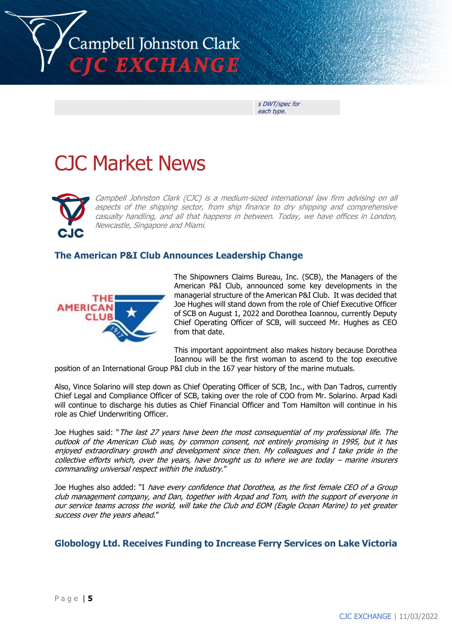

s DWT/spec for each type.

# CJC Market News



Campbell Johnston Clark (CJC) is a medium-sized international law firm advising on all aspects of the shipping sector, from ship finance to dry shipping and comprehensive casualty handling, and all that happens in between. Today, we have offices in London, Newcastle, Singapore and Miami.

# **The American P&I Club Announces Leadership Change**



The Shipowners Claims Bureau, Inc. (SCB), the Managers of the American P&I Club, announced some key developments in the managerial structure of the American P&I Club. It was decided that Joe Hughes will stand down from the role of Chief Executive Officer of SCB on August 1, 2022 and Dorothea Ioannou, currently Deputy Chief Operating Officer of SCB, will succeed Mr. Hughes as CEO from that date.

This important appointment also makes history because Dorothea Ioannou will be the first woman to ascend to the top executive

position of an International Group P&I club in the 167 year history of the marine mutuals.

Also, Vince Solarino will step down as Chief Operating Officer of SCB, Inc., with Dan Tadros, currently Chief Legal and Compliance Officer of SCB, taking over the role of COO from Mr. Solarino. Arpad Kadi will continue to discharge his duties as Chief Financial Officer and Tom Hamilton will continue in his role as Chief Underwriting Officer.

Joe Hughes said: "The last 27 years have been the most consequential of my professional life. The outlook of the American Club was, by common consent, not entirely promising in 1995, but it has enjoyed extraordinary growth and development since then. My colleagues and I take pride in the collective efforts which, over the years, have brought us to where we are today – marine insurers commanding universal respect within the industry."

Joe Hughes also added: "I have every confidence that Dorothea, as the first female CEO of a Group club management company, and Dan, together with Arpad and Tom, with the support of everyone in our service teams across the world, will take the Club and EOM (Eagle Ocean Marine) to yet greater success over the years ahead."

# **Globology Ltd. Receives Funding to Increase Ferry Services on Lake Victoria**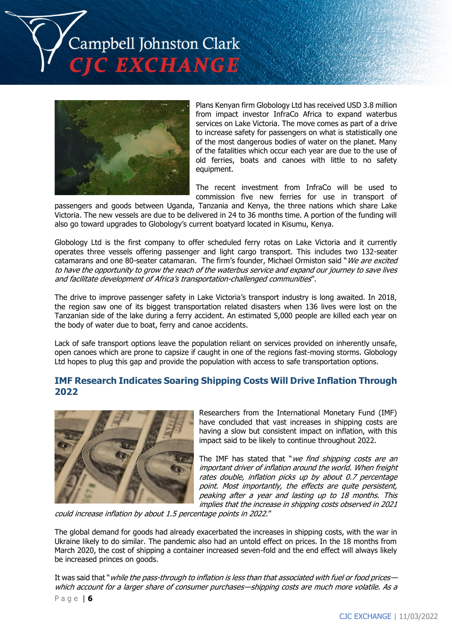



Plans Kenyan firm Globology Ltd has received USD 3.8 million from impact investor InfraCo Africa to expand waterbus services on Lake Victoria. The move comes as part of a drive to increase safety for passengers on what is statistically one of the most dangerous bodies of water on the planet. Many of the fatalities which occur each year are due to the use of old ferries, boats and canoes with little to no safety equipment.

The recent investment from InfraCo will be used to commission five new ferries for use in transport of

passengers and goods between Uganda, Tanzania and Kenya, the three nations which share Lake Victoria. The new vessels are due to be delivered in 24 to 36 months time. A portion of the funding will also go toward upgrades to Globology's current boatyard located in Kisumu, Kenya.

Globology Ltd is the first company to offer scheduled ferry rotas on Lake Victoria and it currently operates three vessels offering passenger and light cargo transport. This includes two 132-seater catamarans and one 80-seater catamaran. The firm's founder, Michael Ormiston said "We are excited to have the opportunity to grow the reach of the waterbus service and expand our journey to save lives and facilitate development of Africa's transportation-challenged communities".

The drive to improve passenger safety in Lake Victoria's transport industry is long awaited. In 2018, the region saw one of its biggest transportation related disasters when 136 lives were lost on the Tanzanian side of the lake during a ferry accident. An estimated 5,000 people are killed each year on the body of water due to boat, ferry and canoe accidents.

Lack of safe transport options leave the population reliant on services provided on inherently unsafe, open canoes which are prone to capsize if caught in one of the regions fast-moving storms. Globology Ltd hopes to plug this gap and provide the population with access to safe transportation options.

# **IMF Research Indicates Soaring Shipping Costs Will Drive Inflation Through 2022**



Researchers from the International Monetary Fund (IMF) have concluded that vast increases in shipping costs are having a slow but consistent impact on inflation, with this impact said to be likely to continue throughout 2022.

The IMF has stated that "we find shipping costs are an important driver of inflation around the world. When freight rates double, inflation picks up by about 0.7 percentage point. Most importantly, the effects are quite persistent, peaking after a year and lasting up to 18 months. This implies that the increase in shipping costs observed in 2021

could increase inflation by about 1.5 percentage points in 2022."

The global demand for goods had already exacerbated the increases in shipping costs, with the war in Ukraine likely to do similar. The pandemic also had an untold effect on prices. In the 18 months from March 2020, the cost of shipping a container increased seven-fold and the end effect will always likely be increased princes on goods.

It was said that "while the pass-through to inflation is less than that associated with fuel or food prices which account for a larger share of consumer purchases—shipping costs are much more volatile. As a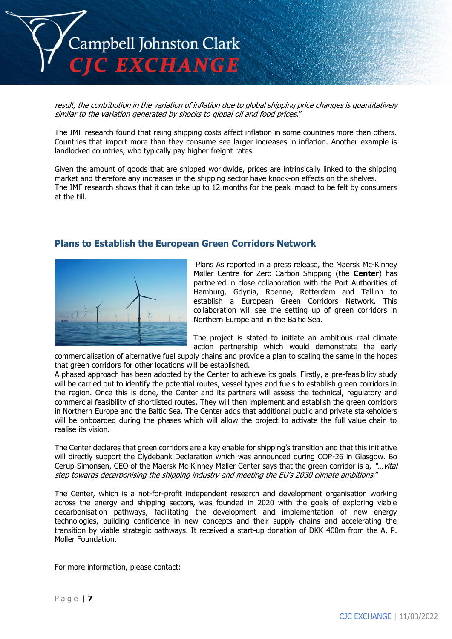

result, the contribution in the variation of inflation due to global shipping price changes is quantitatively similar to the variation generated by shocks to global oil and food prices."

The IMF research found that rising shipping costs affect inflation in some countries more than others. Countries that import more than they consume see larger increases in inflation. Another example is landlocked countries, who typically pay higher freight rates.

Given the amount of goods that are shipped worldwide, prices are intrinsically linked to the shipping market and therefore any increases in the shipping sector have knock-on effects on the shelves. The IMF research shows that it can take up to 12 months for the peak impact to be felt by consumers at the till.

### **Plans to Establish the European Green Corridors Network**



Plans As reported in a press release, the Maersk Mc-Kinney Møller Centre for Zero Carbon Shipping (the **Center**) has partnered in close collaboration with the Port Authorities of Hamburg, Gdynia, Roenne, Rotterdam and Tallinn to establish a European Green Corridors Network. This collaboration will see the setting up of green corridors in Northern Europe and in the Baltic Sea.

The project is stated to initiate an ambitious real climate action partnership which would demonstrate the early

commercialisation of alternative fuel supply chains and provide a plan to scaling the same in the hopes that green corridors for other locations will be established.

A phased approach has been adopted by the Center to achieve its goals. Firstly, a pre-feasibility study will be carried out to identify the potential routes, vessel types and fuels to establish green corridors in the region. Once this is done, the Center and its partners will assess the technical, regulatory and commercial feasibility of shortlisted routes. They will then implement and establish the green corridors in Northern Europe and the Baltic Sea. The Center adds that additional public and private stakeholders will be onboarded during the phases which will allow the project to activate the full value chain to realise its vision.

The Center declares that green corridors are a key enable for shipping's transition and that this initiative will directly support the Clydebank Declaration which was announced during COP-26 in Glasgow. Bo Cerup-Simonsen, CEO of the Maersk Mc-Kinney Møller Center says that the green corridor is a, "…vital step towards decarbonising the shipping industry and meeting the EU's 2030 climate ambitions."

The Center, which is a not-for-profit independent research and development organisation working across the energy and shipping sectors, was founded in 2020 with the goals of exploring viable decarbonisation pathways, facilitating the development and implementation of new energy technologies, building confidence in new concepts and their supply chains and accelerating the transition by viable strategic pathways. It received a start-up donation of DKK 400m from the A. P. Moller Foundation.

For more information, please contact: